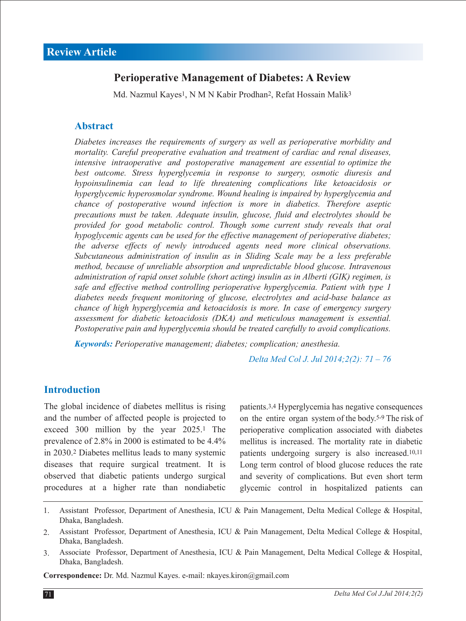# **Perioperative Management of Diabetes: A Review**

Md. Nazmul Kayes1, N M N Kabir Prodhan2, Refat Hossain Malik3

## **Abstract**

*Diabetes increases the requirements of surgery as well as perioperative morbidity and mortality. Careful preoperative evaluation and treatment of cardiac and renal diseases, intensive intraoperative and postoperative management are essential to optimize the best outcome. Stress hyperglycemia in response to surgery, osmotic diuresis and hypoinsulinemia can lead to life threatening complications like ketoacidosis or hyperglycemic hyperosmolar syndrome. Wound healing is impaired by hyperglycemia and chance of postoperative wound infection is more in diabetics. Therefore aseptic precautions must be taken. Adequate insulin, glucose, fluid and electrolytes should be provided for good metabolic control. Though some current study reveals that oral hypoglycemic agents can be used for the effective management of perioperative diabetes; the adverse effects of newly introduced agents need more clinical observations. Subcutaneous administration of insulin as in Sliding Scale may be a less preferable method, because of unreliable absorption and unpredictable blood glucose. Intravenous administration of rapid onset soluble (short acting) insulin as in Alberti (GIK) regimen, is safe and effective method controlling perioperative hyperglycemia. Patient with type 1 diabetes needs frequent monitoring of glucose, electrolytes and acid-base balance as chance of high hyperglycemia and ketoacidosis is more. In case of emergency surgery assessment for diabetic ketoacidosis (DKA) and meticulous management is essential. Postoperative pain and hyperglycemia should be treated carefully to avoid complications.*

*Keywords: Perioperative management; diabetes; complication; anesthesia.* 

*Delta Med Col J. Jul 2014;2(2): 71 – 76*

# **Introduction**

The global incidence of diabetes mellitus is rising and the number of affected people is projected to exceed 300 million by the year 2025.1 The prevalence of 2.8% in 2000 is estimated to be 4.4% in 2030.2 Diabetes mellitus leads to many systemic diseases that require surgical treatment. It is observed that diabetic patients undergo surgical procedures at a higher rate than nondiabetic

patients.3,4 Hyperglycemia has negative consequences on the entire organ system of the body.5-9 The risk of perioperative complication associated with diabetes mellitus is increased. The mortality rate in diabetic patients undergoing surgery is also increased.10,11 Long term control of blood glucose reduces the rate and severity of complications. But even short term glycemic control in hospitalized patients can

Assistant Professor, Department of Anesthesia, ICU & Pain Management, Delta Medical College & Hospital, Dhaka, Bangladesh. 1.

Associate Professor, Department of Anesthesia, ICU & Pain Management, Delta Medical College & Hospital, Dhaka, Bangladesh. 3.

**Correspondence:** Dr. Md. Nazmul Kayes. e-mail: nkayes.kiron@gmail.com

Assistant Professor, Department of Anesthesia, ICU & Pain Management, Delta Medical College & Hospital, Dhaka, Bangladesh. 2.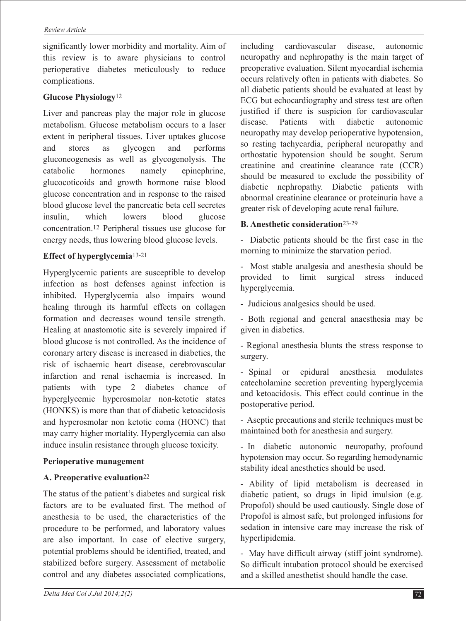significantly lower morbidity and mortality. Aim of this review is to aware physicians to control perioperative diabetes meticulously to reduce complications.

## **Glucose Physiology**12

Liver and pancreas play the major role in glucose metabolism. Glucose metabolism occurs to a laser extent in peripheral tissues. Liver uptakes glucose and stores as glycogen and performs gluconeogenesis as well as glycogenolysis. The catabolic hormones namely epinephrine, glucocoticoids and growth hormone raise blood glucose concentration and in response to the raised blood glucose level the pancreatic beta cell secretes insulin, which lowers blood glucose concentration.12 Peripheral tissues use glucose for energy needs, thus lowering blood glucose levels.

### **Effect of hyperglycemia**13-21

Hyperglycemic patients are susceptible to develop infection as host defenses against infection is inhibited. Hyperglycemia also impairs wound healing through its harmful effects on collagen formation and decreases wound tensile strength. Healing at anastomotic site is severely impaired if blood glucose is not controlled. As the incidence of coronary artery disease is increased in diabetics, the risk of ischaemic heart disease, cerebrovascular infarction and renal ischaemia is increased. In patients with type 2 diabetes chance of hyperglycemic hyperosmolar non-ketotic states (HONKS) is more than that of diabetic ketoacidosis and hyperosmolar non ketotic coma (HONC) that may carry higher mortality. Hyperglycemia can also induce insulin resistance through glucose toxicity.

#### **Perioperative management**

#### **A. Preoperative evaluation**22

The status of the patient's diabetes and surgical risk factors are to be evaluated first. The method of anesthesia to be used, the characteristics of the procedure to be performed, and laboratory values are also important. In case of elective surgery, potential problems should be identified, treated, and stabilized before surgery. Assessment of metabolic control and any diabetes associated complications,

including cardiovascular disease, autonomic neuropathy and nephropathy is the main target of preoperative evaluation. Silent myocardial ischemia occurs relatively often in patients with diabetes. So all diabetic patients should be evaluated at least by ECG but echocardiography and stress test are often justified if there is suspicion for cardiovascular disease. Patients with diabetic autonomic neuropathy may develop perioperative hypotension, so resting tachycardia, peripheral neuropathy and orthostatic hypotension should be sought. Serum creatinine and creatinine clearance rate (CCR) should be measured to exclude the possibility of diabetic nephropathy. Diabetic patients with abnormal creatinine clearance or proteinuria have a greater risk of developing acute renal failure.

#### **B. Anesthetic consideration**23-29

- Diabetic patients should be the first case in the morning to minimize the starvation period.

- Most stable analgesia and anesthesia should be provided to limit surgical stress induced hyperglycemia.

- Judicious analgesics should be used.

- Both regional and general anaesthesia may be given in diabetics.

- Regional anesthesia blunts the stress response to surgery.

- Spinal or epidural anesthesia modulates catecholamine secretion preventing hyperglycemia and ketoacidosis. This effect could continue in the postoperative period.

- Aseptic precautions and sterile techniques must be maintained both for anesthesia and surgery.

- In diabetic autonomic neuropathy, profound hypotension may occur. So regarding hemodynamic stability ideal anesthetics should be used.

- Ability of lipid metabolism is decreased in diabetic patient, so drugs in lipid imulsion (e.g. Propofol) should be used cautiously. Single dose of Propofol is almost safe, but prolonged infusions for sedation in intensive care may increase the risk of hyperlipidemia.

- May have difficult airway (stiff joint syndrome). So difficult intubation protocol should be exercised and a skilled anesthetist should handle the case.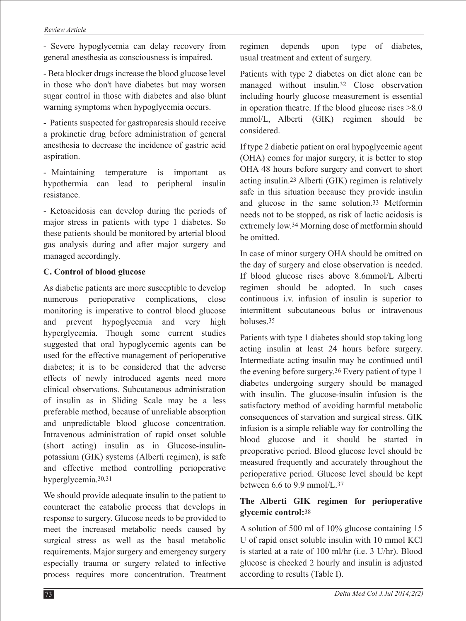#### *Review Article*

- Severe hypoglycemia can delay recovery from general anesthesia as consciousness is impaired.

- Beta blocker drugs increase the blood glucose level in those who don't have diabetes but may worsen sugar control in those with diabetes and also blunt warning symptoms when hypoglycemia occurs.

- Patients suspected for gastroparesis should receive a prokinetic drug before administration of general anesthesia to decrease the incidence of gastric acid aspiration.

- Maintaining temperature is important as hypothermia can lead to peripheral insulin resistance.

- Ketoacidosis can develop during the periods of major stress in patients with type 1 diabetes. So these patients should be monitored by arterial blood gas analysis during and after major surgery and managed accordingly.

## **C. Control of blood glucose**

As diabetic patients are more susceptible to develop numerous perioperative complications, close monitoring is imperative to control blood glucose and prevent hypoglycemia and very high hyperglycemia. Though some current studies suggested that oral hypoglycemic agents can be used for the effective management of perioperative diabetes; it is to be considered that the adverse effects of newly introduced agents need more clinical observations. Subcutaneous administration of insulin as in Sliding Scale may be a less preferable method, because of unreliable absorption and unpredictable blood glucose concentration. Intravenous administration of rapid onset soluble (short acting) insulin as in Glucose-insulinpotassium (GIK) systems (Alberti regimen), is safe and effective method controlling perioperative hyperglycemia.30,31

We should provide adequate insulin to the patient to counteract the catabolic process that develops in response to surgery. Glucose needs to be provided to meet the increased metabolic needs caused by surgical stress as well as the basal metabolic requirements. Major surgery and emergency surgery especially trauma or surgery related to infective process requires more concentration. Treatment

regimen depends upon type of diabetes, usual treatment and extent of surgery.

Patients with type 2 diabetes on diet alone can be managed without insulin.32 Close observation including hourly glucose measurement is essential in operation theatre. If the blood glucose rises >8.0 mmol/L, Alberti (GIK) regimen should be considered.

If type 2 diabetic patient on oral hypoglycemic agent (OHA) comes for major surgery, it is better to stop OHA 48 hours before surgery and convert to short acting insulin.23 Alberti (GIK) regimen is relatively safe in this situation because they provide insulin and glucose in the same solution.33 Metformin needs not to be stopped, as risk of lactic acidosis is extremely low.34 Morning dose of metformin should be omitted.

In case of minor surgery OHA should be omitted on the day of surgery and close observation is needed. If blood glucose rises above 8.6mmol/L Alberti regimen should be adopted. In such cases continuous i.v. infusion of insulin is superior to intermittent subcutaneous bolus or intravenous boluses.35

Patients with type 1 diabetes should stop taking long acting insulin at least 24 hours before surgery. Intermediate acting insulin may be continued until the evening before surgery.36 Every patient of type 1 diabetes undergoing surgery should be managed with insulin. The glucose-insulin infusion is the satisfactory method of avoiding harmful metabolic consequences of starvation and surgical stress. GIK infusion is a simple reliable way for controlling the blood glucose and it should be started in preoperative period. Blood glucose level should be measured frequently and accurately throughout the perioperative period. Glucose level should be kept between 6.6 to 9.9 mmol/L.37

# **The Alberti GIK regimen for perioperative glycemic control:**38

A solution of 500 ml of 10% glucose containing 15 U of rapid onset soluble insulin with 10 mmol KCl is started at a rate of 100 ml/hr (i.e. 3 U/hr). Blood glucose is checked 2 hourly and insulin is adjusted according to results (Table I).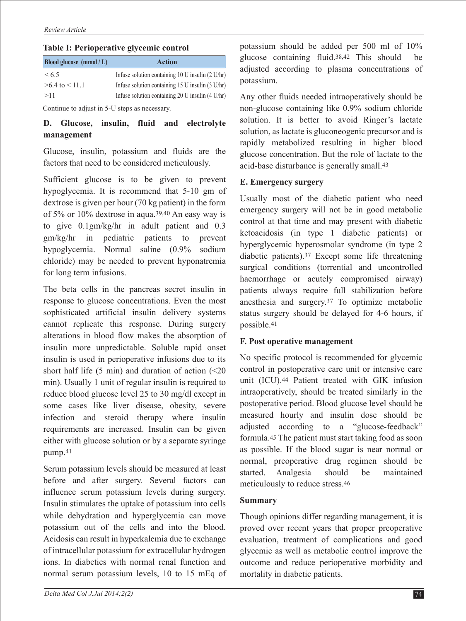#### **Table I: Perioperative glycemic control**

| Blood glucose $\pmod{L}$ | <b>Action</b>                                               |
|--------------------------|-------------------------------------------------------------|
| < 6.5                    | In fuse solution containing $10 U$ insulin $(2 U/hr)$       |
| $>6.4$ to $< 11.1$       | In fuse solution containing $15 U$ insulin $(3 U/hr)$       |
| >11                      | In fuse solution containing 20 U insulin $(4 \text{ U/hr})$ |

Continue to adjust in 5-U steps as necessary.

# **D. Glucose, insulin, fluid and electrolyte management**

Glucose, insulin, potassium and fluids are the factors that need to be considered meticulously.

Sufficient glucose is to be given to prevent hypoglycemia. It is recommend that 5-10 gm of dextrose is given per hour (70 kg patient) in the form of 5% or 10% dextrose in aqua.39,40 An easy way is to give 0.1gm/kg/hr in adult patient and 0.3 gm/kg/hr in pediatric patients to prevent hypoglycemia. Normal saline (0.9% sodium chloride) may be needed to prevent hyponatremia for long term infusions.

The beta cells in the pancreas secret insulin in response to glucose concentrations. Even the most sophisticated artificial insulin delivery systems cannot replicate this response. During surgery alterations in blood flow makes the absorption of insulin more unpredictable. Soluble rapid onset insulin is used in perioperative infusions due to its short half life  $(5 \text{ min})$  and duration of action  $\ll 20$ min). Usually 1 unit of regular insulin is required to reduce blood glucose level 25 to 30 mg/dl except in some cases like liver disease, obesity, severe infection and steroid therapy where insulin requirements are increased. Insulin can be given either with glucose solution or by a separate syringe pump.41

Serum potassium levels should be measured at least before and after surgery. Several factors can influence serum potassium levels during surgery. Insulin stimulates the uptake of potassium into cells while dehydration and hyperglycemia can move potassium out of the cells and into the blood. Acidosis can result in hyperkalemia due to exchange of intracellular potassium for extracellular hydrogen ions. In diabetics with normal renal function and normal serum potassium levels, 10 to 15 mEq of

potassium should be added per 500 ml of 10% glucose containing fluid.38,42 This should be adjusted according to plasma concentrations of potassium.

Any other fluids needed intraoperatively should be non-glucose containing like 0.9% sodium chloride solution. It is better to avoid Ringer's lactate solution, as lactate is gluconeogenic precursor and is rapidly metabolized resulting in higher blood glucose concentration. But the role of lactate to the acid-base disturbance is generally small.43

# **E. Emergency surgery**

Usually most of the diabetic patient who need emergency surgery will not be in good metabolic control at that time and may present with diabetic ketoacidosis (in type 1 diabetic patients) or hyperglycemic hyperosmolar syndrome (in type 2 diabetic patients).37 Except some life threatening surgical conditions (torrential and uncontrolled haemorrhage or acutely compromised airway) patients always require full stabilization before anesthesia and surgery.37 To optimize metabolic status surgery should be delayed for 4-6 hours, if possible.41

# **F. Post operative management**

No specific protocol is recommended for glycemic control in postoperative care unit or intensive care unit (ICU).44 Patient treated with GIK infusion intraoperatively, should be treated similarly in the postoperative period. Blood glucose level should be measured hourly and insulin dose should be adjusted according to a "glucose-feedback" formula.45 The patient must start taking food as soon as possible. If the blood sugar is near normal or normal, preoperative drug regimen should be started. Analgesia should be maintained meticulously to reduce stress.46

## **Summary**

Though opinions differ regarding management, it is proved over recent years that proper preoperative evaluation, treatment of complications and good glycemic as well as metabolic control improve the outcome and reduce perioperative morbidity and mortality in diabetic patients.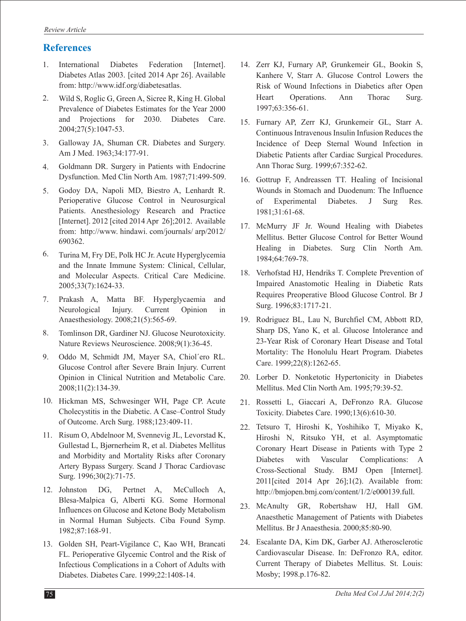# **References**

- Diabetes Federation [Internet]. Diabetes Atlas 2003. [cited 2014 Apr 26]. Available from: http://www.idf.org/diabetesatlas. 1. International
- Wild S, Roglic G, Green A, Sicree R, King H. Global Prevalence of Diabetes Estimates for the Year 2000 and Projections for 2030. Diabetes Care. 2004;27(5):1047-53. 2.
- Galloway JA, Shuman CR. Diabetes and Surgery. 3. Am J Med. 1963;34:177-91.
- Goldmann DR. Surgery in Patients with Endocrine Dysfunction. Med Clin North Am. 1987;71:499-509. 4.
- Godoy DA, Napoli MD, Biestro A, Lenhardt R. Perioperative Glucose Control in Neurosurgical Patients. Anesthesiology Research and Practice [Internet]. 2012 [cited 2014 Apr 26];2012. Available from: http://www. hindawi. com/journals/ arp/2012/ 690362. 5.
- 6. Turina M, Fry DE, Polk HC Jr. Acute Hyperglycemia and the Innate Immune System: Clinical, Cellular, and Molecular Aspects. Critical Care Medicine. 2005;33(7):1624-33.
- 7. Prakash A, Matta BF. Hyperglycaemia and Neurological Injury. Current Opinion in Anaesthesiology. 2008;21(5):565-69.
- Tomlinson DR, Gardiner NJ. Glucose Neurotoxicity. 8. Nature Reviews Neuroscience. 2008;9(1):36-45.
- Oddo M, Schmidt JM, Mayer SA, Chiol´ero RL. Glucose Control after Severe Brain Injury. Current Opinion in Clinical Nutrition and Metabolic Care. 2008;11(2):134-39. 9.
- 10. Hickman MS, Schwesinger WH, Page CP. Acute Cholecystitis in the Diabetic. A Case–Control Study of Outcome. Arch Surg. 1988;123:409-11.
- 11. Risum O, Abdelnoor M, Svennevig JL, Levorstad K, Gullestad L, Bjørnerheim R, et al. Diabetes Mellitus and Morbidity and Mortality Risks after Coronary Artery Bypass Surgery. Scand J Thorac Cardiovasc Surg. 1996;30(2):71-75.
- DG, Pertnet A, McCulloch A, Blesa-Malpica G, Alberti KG. Some Hormonal Influences on Glucose and Ketone Body Metabolism in Normal Human Subjects. Ciba Found Symp. 1982;87:168-91. 12. Johnston
- 13. Golden SH, Peart-Vigilance C, Kao WH, Brancati FL. Perioperative Glycemic Control and the Risk of Infectious Complications in a Cohort of Adults with Diabetes. Diabetes Care. 1999;22:1408-14.
- 14. Zerr KJ, Furnary AP, Grunkemeir GL, Bookin S, Kanhere V, Starr A. Glucose Control Lowers the Risk of Wound Infections in Diabetics after Open Heart Operations. Ann Thorac Surg. 1997;63:356-61.
- 15. Furnary AP, Zerr KJ, Grunkemeir GL, Starr A. Continuous Intravenous Insulin Infusion Reduces the Incidence of Deep Sternal Wound Infection in Diabetic Patients after Cardiac Surgical Procedures. Ann Thorac Surg. 1999;67:352-62.
- 16. Gottrup F, Andreassen TT. Healing of Incisional Wounds in Stomach and Duodenum: The Influence of Experimental Diabetes. J Surg Res. 1981;31:61-68.
- 17. McMurry JF Jr. Wound Healing with Diabetes Mellitus. Better Glucose Control for Better Wound Healing in Diabetes. Surg Clin North Am. 1984;64:769-78.
- 18. Verhofstad HJ, Hendriks T. Complete Prevention of Impaired Anastomotic Healing in Diabetic Rats Requires Preoperative Blood Glucose Control. Br J Surg. 1996;83:1717-21.
- 19. Rodriguez BL, Lau N, Burchfiel CM, Abbott RD, Sharp DS, Yano K, et al. Glucose Intolerance and 23-Year Risk of Coronary Heart Disease and Total Mortality: The Honolulu Heart Program. Diabetes Care. 1999;22(8):1262-65.
- 20. Lorber D. Nonketotic Hypertonicity in Diabetes Mellitus. Med Clin North Am. 1995;79:39-52.
- 21. Rossetti L, Giaccari A, DeFronzo RA. Glucose Toxicity. Diabetes Care. 1990;13(6):610-30.
- 22. Tetsuro T, Hiroshi K, Yoshihiko T, Miyako K, Hiroshi N, Ritsuko YH, et al. Asymptomatic Coronary Heart Disease in Patients with Type 2 Diabetes with Vascular Complications: A Cross-Sectional Study. BMJ Open [Internet]. 2011[cited 2014 Apr 26];1(2). Available from: http://bmjopen.bmj.com/content/1/2/e000139.full.
- 23. McAnulty GR, Robertshaw HJ, Hall GM. Anaesthetic Management of Patients with Diabetes Mellitus. Br J Anaesthesia. 2000;85:80-90.
- Escalante DA, Kim DK, Garber AJ. Atherosclerotic 24.Cardiovascular Disease. In: DeFronzo RA, editor. Current Therapy of Diabetes Mellitus. St. Louis: Mosby; 1998.p.176-82.